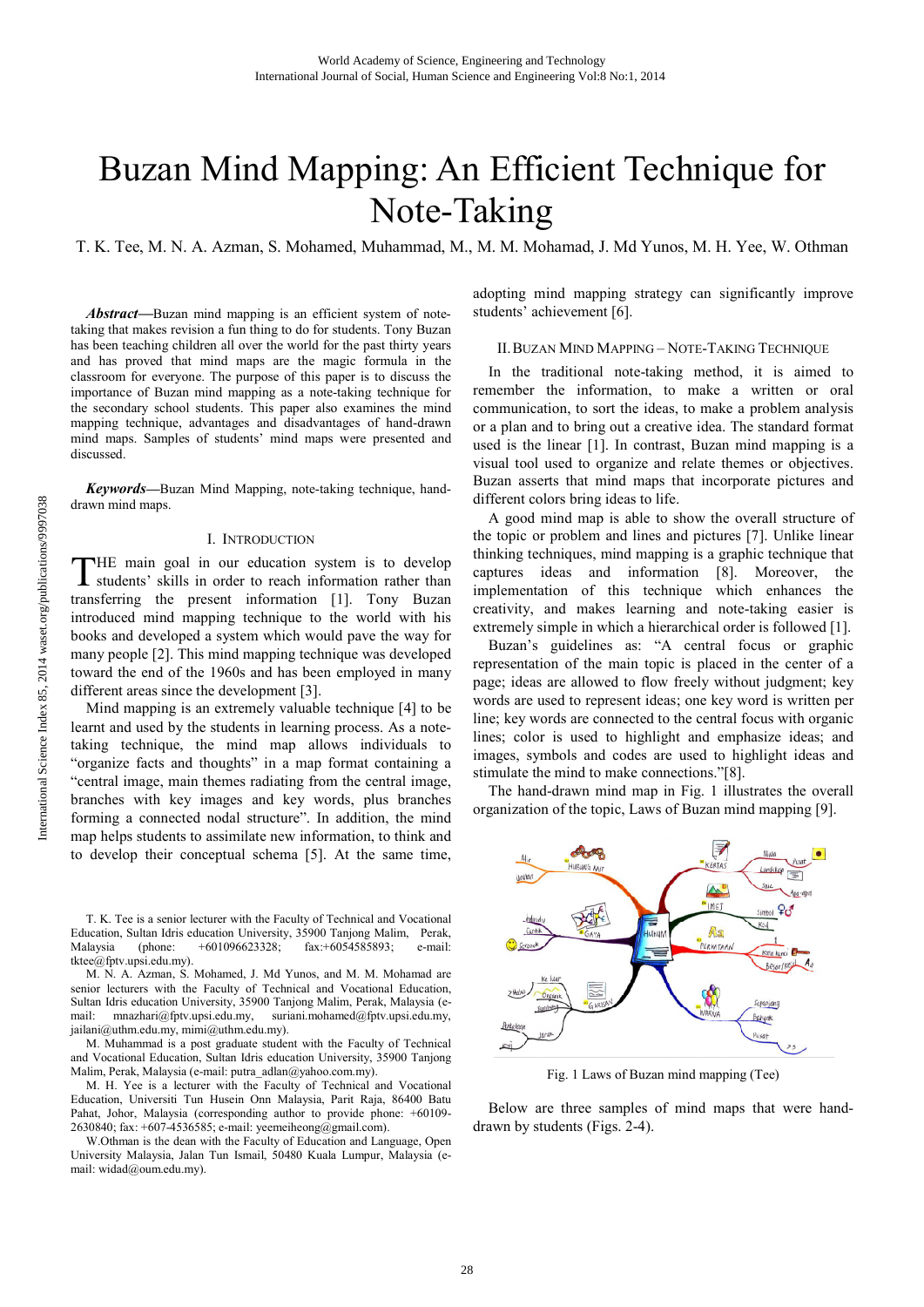# Buzan Mind Mapping: An Efficient Technique for Note-Taking

T. K. Tee, M. N. A. Azman, S. Mohamed, Muhammad, M., M. M. Mohamad, J. Md Yunos, M. H. Yee, W. Othman

*Abstract***—**Buzan mind mapping is an efficient system of notetaking that makes revision a fun thing to do for students. Tony Buzan has been teaching children all over the world for the past thirty years and has proved that mind maps are the magic formula in the classroom for everyone. The purpose of this paper is to discuss the importance of Buzan mind mapping as a note-taking technique for the secondary school students. This paper also examines the mind mapping technique, advantages and disadvantages of hand-drawn mind maps. Samples of students' mind maps were presented and discussed.

*Keywords***—**Buzan Mind Mapping, note-taking technique, handdrawn mind maps.

#### I. INTRODUCTION

HE main goal in our education system is to develop THE main goal in our education system is to develop students' skills in order to reach information rather than transferring the present information [1]. Tony Buzan introduced mind mapping technique to the world with his books and developed a system which would pave the way for many people [2]. This mind mapping technique was developed toward the end of the 1960s and has been employed in many different areas since the development [3].

Mind mapping is an extremely valuable technique [4] to be learnt and used by the students in learning process. As a notetaking technique, the mind map allows individuals to "organize facts and thoughts" in a map format containing a "central image, main themes radiating from the central image, branches with key images and key words, plus branches forming a connected nodal structure". In addition, the mind map helps students to assimilate new information, to think and to develop their conceptual schema [5]. At the same time,

T. K. Tee is a senior lecturer with the Faculty of Technical and Vocational Education, Sultan Idris education University, 35900 Tanjong Malim, Perak, Malaysia (phone: +601096623328; fax:+6054585893; e-mail: tktee@fptv.upsi.edu.my).

M. N. A. Azman, S. Mohamed, J. Md Yunos, and M. M. Mohamad are senior lecturers with the Faculty of Technical and Vocational Education, Sultan Idris education University, 35900 Tanjong Malim, Perak, Malaysia (e-mail: mnazhari@fptv.upsi.edu.my, suriani.mohamed@fptv.upsi.edu.my, mail: mnazhari@fptv.upsi.edu.my, suriani.mohamed@fptv.upsi.edu.my, jailani@uthm.edu.my, mimi@uthm.edu.my).

M. Muhammad is a post graduate student with the Faculty of Technical and Vocational Education, Sultan Idris education University, 35900 Tanjong Malim, Perak, Malaysia (e-mail: putra\_adlan@yahoo.com.my).

M. H. Yee is a lecturer with the Faculty of Technical and Vocational Education, Universiti Tun Husein Onn Malaysia, Parit Raja, 86400 Batu Pahat, Johor, Malaysia (corresponding author to provide phone: +60109- 2630840; fax: +607-4536585; e-mail: yeemeiheong@gmail.com).

W.Othman is the dean with the Faculty of Education and Language, Open University Malaysia, Jalan Tun Ismail, 50480 Kuala Lumpur, Malaysia (email: widad@oum.edu.my).

adopting mind mapping strategy can significantly improve students' achievement [6].

## II.BUZAN MIND MAPPING – NOTE-TAKING TECHNIQUE

In the traditional note-taking method, it is aimed to remember the information, to make a written or oral communication, to sort the ideas, to make a problem analysis or a plan and to bring out a creative idea. The standard format used is the linear [1]. In contrast, Buzan mind mapping is a visual tool used to organize and relate themes or objectives. Buzan asserts that mind maps that incorporate pictures and different colors bring ideas to life.

A good mind map is able to show the overall structure of the topic or problem and lines and pictures [7]. Unlike linear thinking techniques, mind mapping is a graphic technique that captures ideas and information [8]. Moreover, the implementation of this technique which enhances the creativity, and makes learning and note-taking easier is extremely simple in which a hierarchical order is followed [1].

Buzan's guidelines as: "A central focus or graphic representation of the main topic is placed in the center of a page; ideas are allowed to flow freely without judgment; key words are used to represent ideas; one key word is written per line; key words are connected to the central focus with organic lines; color is used to highlight and emphasize ideas; and images, symbols and codes are used to highlight ideas and stimulate the mind to make connections."[8].

The hand-drawn mind map in Fig. 1 illustrates the overall organization of the topic, Laws of Buzan mind mapping [9].



Fig. 1 Laws of Buzan mind mapping (Tee)

Below are three samples of mind maps that were handdrawn by students (Figs. 2-4).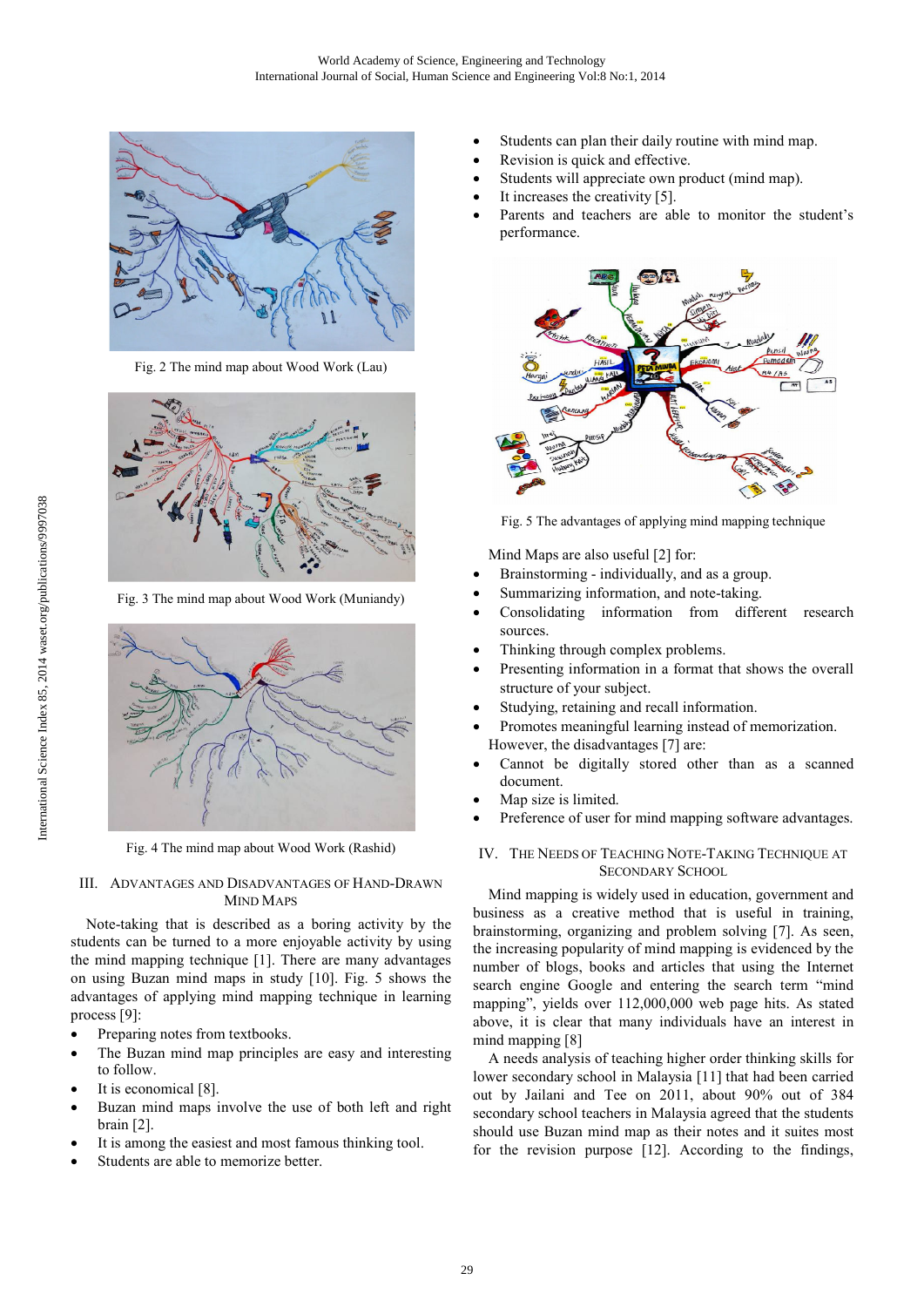

Fig. 2 The mind map about Wood Work (Lau)



Fig. 3 The mind map about Wood Work (Muniandy)



Fig. 4 The mind map about Wood Work (Rashid)

#### III. ADVANTAGES AND DISADVANTAGES OF HAND-DRAWN MIND MAPS

Note-taking that is described as a boring activity by the students can be turned to a more enjoyable activity by using the mind mapping technique [1]. There are many advantages on using Buzan mind maps in study [10]. Fig. 5 shows the advantages of applying mind mapping technique in learning process [9]:

- Preparing notes from textbooks.
- The Buzan mind map principles are easy and interesting to follow.
- It is economical [8].
- Buzan mind maps involve the use of both left and right brain [2].
- It is among the easiest and most famous thinking tool.
- Students are able to memorize better.
- Students can plan their daily routine with mind map.
- Revision is quick and effective.
- Students will appreciate own product (mind map).
- It increases the creativity [5].
- Parents and teachers are able to monitor the student's performance.



Fig. 5 The advantages of applying mind mapping technique

Mind Maps are also useful [2] for:

- Brainstorming individually, and as a group.
- Summarizing information, and note-taking.
- Consolidating information from different research sources.
- Thinking through complex problems.
- Presenting information in a format that shows the overall structure of your subject.
- Studying, retaining and recall information.
- Promotes meaningful learning instead of memorization. However, the disadvantages [7] are:
- Cannot be digitally stored other than as a scanned document.
- Map size is limited.
- Preference of user for mind mapping software advantages.

# IV. THE NEEDS OF TEACHING NOTE-TAKING TECHNIQUE AT SECONDARY SCHOOL

Mind mapping is widely used in education, government and business as a creative method that is useful in training, brainstorming, organizing and problem solving [7]. As seen, the increasing popularity of mind mapping is evidenced by the number of blogs, books and articles that using the Internet search engine Google and entering the search term "mind mapping", yields over 112,000,000 web page hits. As stated above, it is clear that many individuals have an interest in mind mapping [8]

A needs analysis of teaching higher order thinking skills for lower secondary school in Malaysia [11] that had been carried out by Jailani and Tee on 2011, about 90% out of 384 secondary school teachers in Malaysia agreed that the students should use Buzan mind map as their notes and it suites most for the revision purpose [12]. According to the findings,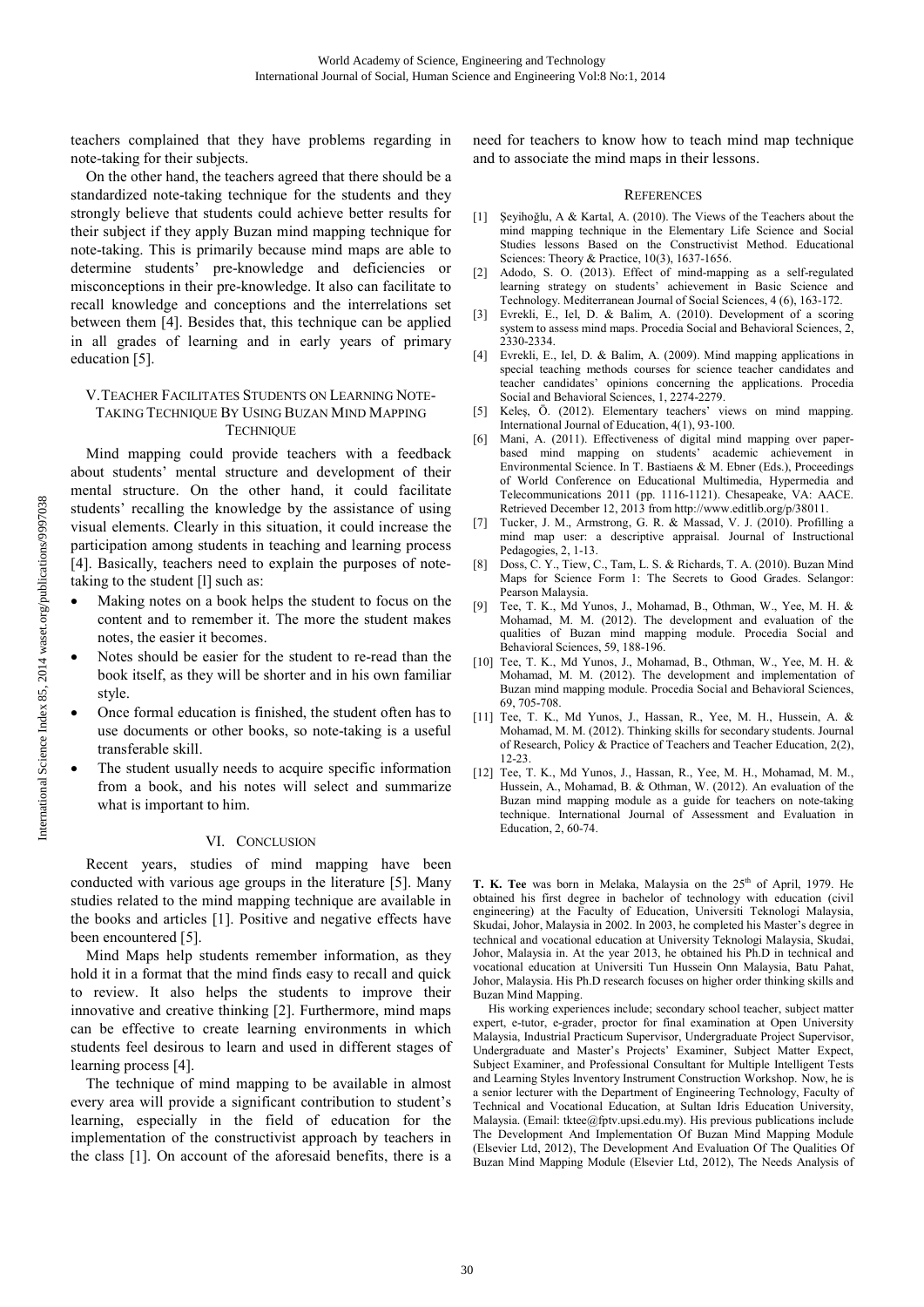teachers complained that they have problems regarding in note-taking for their subjects.

On the other hand, the teachers agreed that there should be a standardized note-taking technique for the students and they strongly believe that students could achieve better results for their subject if they apply Buzan mind mapping technique for note-taking. This is primarily because mind maps are able to determine students' pre-knowledge and deficiencies or misconceptions in their pre-knowledge. It also can facilitate to recall knowledge and conceptions and the interrelations set between them [4]. Besides that, this technique can be applied in all grades of learning and in early years of primary education [5].

## V.TEACHER FACILITATES STUDENTS ON LEARNING NOTE-TAKING TECHNIQUE BY USING BUZAN MIND MAPPING **TECHNIQUE**

Mind mapping could provide teachers with a feedback about students' mental structure and development of their mental structure. On the other hand, it could facilitate students' recalling the knowledge by the assistance of using visual elements. Clearly in this situation, it could increase the participation among students in teaching and learning process [4]. Basically, teachers need to explain the purposes of notetaking to the student [l] such as:

- Making notes on a book helps the student to focus on the content and to remember it. The more the student makes notes, the easier it becomes.
- Notes should be easier for the student to re-read than the book itself, as they will be shorter and in his own familiar style.
- Once formal education is finished, the student often has to use documents or other books, so note-taking is a useful transferable skill.
- The student usually needs to acquire specific information from a book, and his notes will select and summarize what is important to him.

# VI. CONCLUSION

Recent years, studies of mind mapping have been conducted with various age groups in the literature [5]. Many studies related to the mind mapping technique are available in the books and articles [1]. Positive and negative effects have been encountered [5].

Mind Maps help students remember information, as they hold it in a format that the mind finds easy to recall and quick to review. It also helps the students to improve their innovative and creative thinking [2]. Furthermore, mind maps can be effective to create learning environments in which students feel desirous to learn and used in different stages of learning process [4].

The technique of mind mapping to be available in almost every area will provide a significant contribution to student's learning, especially in the field of education for the implementation of the constructivist approach by teachers in the class [1]. On account of the aforesaid benefits, there is a need for teachers to know how to teach mind map technique and to associate the mind maps in their lessons.

### **REFERENCES**

- [1] Şeyihoğlu, A & Kartal, A. (2010). The Views of the Teachers about the mind mapping technique in the Elementary Life Science and Social Studies lessons Based on the Constructivist Method. Educational Sciences: Theory & Practice,  $10(3)$ ,  $1637-1656$ .
- [2] Adodo, S. O. (2013). Effect of mind-mapping as a self-regulated learning strategy on students' achievement in Basic Science and Technology. Mediterranean Journal of Social Sciences, 4 (6), 163-172.
- [3] Evrekli, E., Iel, D. & Balim, A. (2010). Development of a scoring system to assess mind maps. Procedia Social and Behavioral Sciences, 2, 2330-2334.
- [4] Evrekli, E., Iel, D. & Balim, A. (2009). Mind mapping applications in special teaching methods courses for science teacher candidates and teacher candidates' opinions concerning the applications. Procedia Social and Behavioral Sciences, 1, 2274-2279.
- [5] Keleş, Ö. (2012). Elementary teachers' views on mind mapping. International Journal of Education, 4(1), 93-100.
- [6] Mani, A. (2011). Effectiveness of digital mind mapping over paperbased mind mapping on students' academic achievement in Environmental Science. In T. Bastiaens & M. Ebner (Eds.), Proceedings of World Conference on Educational Multimedia, Hypermedia and Telecommunications 2011 (pp. 1116-1121). Chesapeake, VA: AACE. Retrieved December 12, 2013 from http://www.editlib.org/p/38011.
- [7] Tucker, J. M., Armstrong, G. R. & Massad, V. J. (2010). Profilling a mind map user: a descriptive appraisal. Journal of Instructional Pedagogies, 2, 1-13.
- [8] Doss, C. Y., Tiew, C., Tam, L. S. & Richards, T. A. (2010). Buzan Mind Maps for Science Form 1: The Secrets to Good Grades. Selangor: Pearson Malaysia.
- [9] Tee, T. K., Md Yunos, J., Mohamad, B., Othman, W., Yee, M. H. & Mohamad, M. M. (2012). The development and evaluation of the qualities of Buzan mind mapping module. Procedia Social and Behavioral Sciences, 59, 188-196.
- [10] Tee, T. K., Md Yunos, J., Mohamad, B., Othman, W., Yee, M. H. & Mohamad, M. M. (2012). The development and implementation of Buzan mind mapping module. Procedia Social and Behavioral Sciences, 69, 705-708.
- [11] Tee, T. K., Md Yunos, J., Hassan, R., Yee, M. H., Hussein, A. & Mohamad, M. M. (2012). Thinking skills for secondary students. Journal of Research, Policy & Practice of Teachers and Teacher Education, 2(2), 12-23.
- [12] Tee, T. K., Md Yunos, J., Hassan, R., Yee, M. H., Mohamad, M. M., Hussein, A., Mohamad, B. & Othman, W. (2012). An evaluation of the Buzan mind mapping module as a guide for teachers on note-taking technique. International Journal of Assessment and Evaluation in Education, 2, 60-74.

T. K. Tee was born in Melaka, Malaysia on the 25<sup>th</sup> of April, 1979. He obtained his first degree in bachelor of technology with education (civil engineering) at the Faculty of Education, Universiti Teknologi Malaysia, Skudai, Johor, Malaysia in 2002. In 2003, he completed his Master's degree in technical and vocational education at University Teknologi Malaysia, Skudai, Johor, Malaysia in. At the year 2013, he obtained his Ph.D in technical and vocational education at Universiti Tun Hussein Onn Malaysia, Batu Pahat, Johor, Malaysia. His Ph.D research focuses on higher order thinking skills and Buzan Mind Mapping.

His working experiences include; secondary school teacher, subject matter expert, e-tutor, e-grader, proctor for final examination at Open University Malaysia, Industrial Practicum Supervisor, Undergraduate Project Supervisor, Undergraduate and Master's Projects' Examiner, Subject Matter Expect, Subject Examiner, and Professional Consultant for Multiple Intelligent Tests and Learning Styles Inventory Instrument Construction Workshop. Now, he is a senior lecturer with the Department of Engineering Technology, Faculty of Technical and Vocational Education, at Sultan Idris Education University, Malaysia. (Email: tktee@fptv.upsi.edu.my). His previous publications include The Development And Implementation Of Buzan Mind Mapping Module (Elsevier Ltd, 2012), The Development And Evaluation Of The Qualities Of Buzan Mind Mapping Module (Elsevier Ltd, 2012), The Needs Analysis of